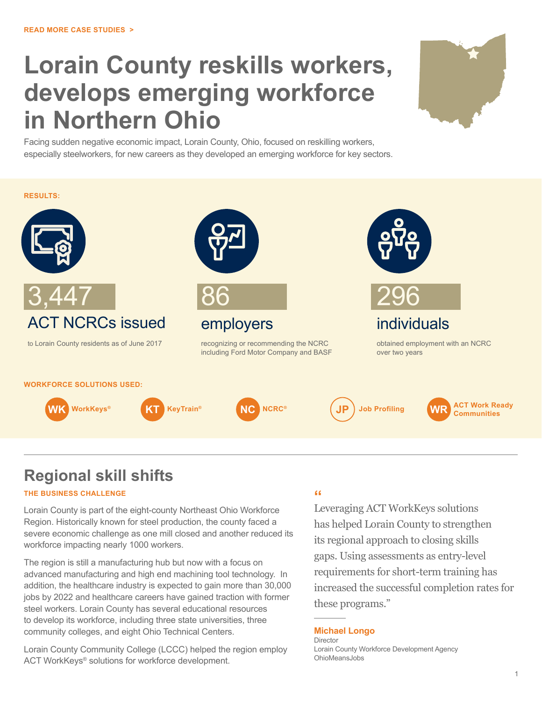# **Lorain County reskills workers, develops emerging workforce in Northern Ohio**



Facing sudden negative economic impact, Lorain County, Ohio, focused on reskilling workers, especially steelworkers, for new careers as they developed an emerging workforce for key sectors.



### **Regional skill shifts**

#### **THE BUSINESS CHALLENGE**

Lorain County is part of the eight-county Northeast Ohio Workforce Region. Historically known for steel production, the county faced a severe economic challenge as one mill closed and another reduced its workforce impacting nearly 1000 workers.

The region is still a manufacturing hub but now with a focus on advanced manufacturing and high end machining tool technology. In addition, the healthcare industry is expected to gain more than 30,000 jobs by 2022 and healthcare careers have gained traction with former steel workers. Lorain County has several educational resources to develop its workforce, including three state universities, three community colleges, and eight Ohio Technical Centers.

Lorain County Community College (LCCC) helped the region employ ACT WorkKeys® solutions for workforce development.

### **"**

Leveraging ACT WorkKeys solutions has helped Lorain County to strengthen its regional approach to closing skills gaps. Using assessments as entry-level requirements for short-term training has increased the successful completion rates for these programs."

#### **Michael Longo** Director

Lorain County Workforce Development Agency OhioMeansJobs